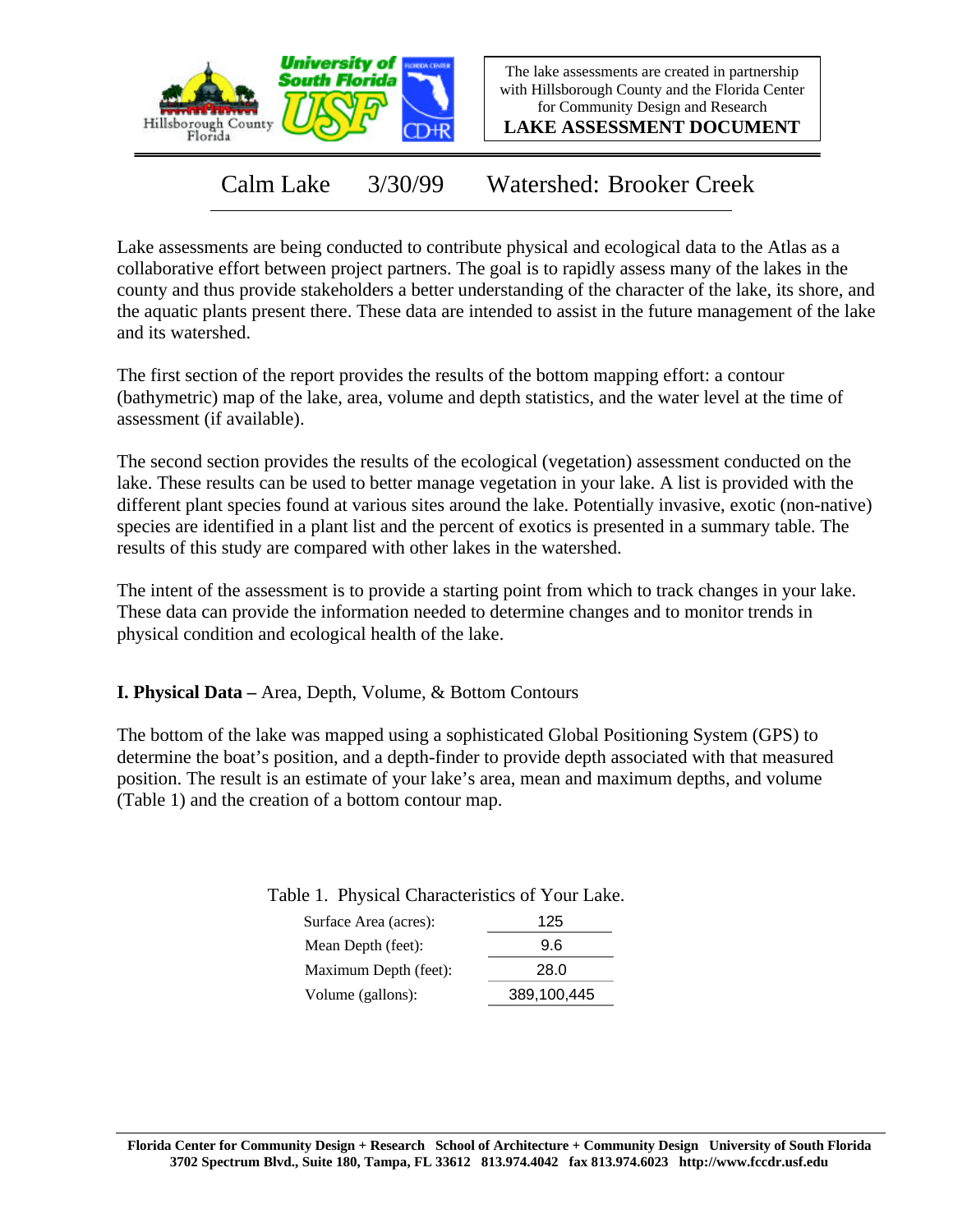

The lake assessments are created in partnership with Hillsborough County and the Florida Center for Community Design and Research

**LAKE ASSESSMENT DOCUMENT**

Calm Lake 3/30/99 Watershed: Brooker Creek

Lake assessments are being conducted to contribute physical and ecological data to the Atlas as a collaborative effort between project partners. The goal is to rapidly assess many of the lakes in the county and thus provide stakeholders a better understanding of the character of the lake, its shore, and the aquatic plants present there. These data are intended to assist in the future management of the lake and its watershed.

The first section of the report provides the results of the bottom mapping effort: a contour (bathymetric) map of the lake, area, volume and depth statistics, and the water level at the time of assessment (if available).

The second section provides the results of the ecological (vegetation) assessment conducted on the lake. These results can be used to better manage vegetation in your lake. A list is provided with the different plant species found at various sites around the lake. Potentially invasive, exotic (non-native) species are identified in a plant list and the percent of exotics is presented in a summary table. The results of this study are compared with other lakes in the watershed.

The intent of the assessment is to provide a starting point from which to track changes in your lake. These data can provide the information needed to determine changes and to monitor trends in physical condition and ecological health of the lake.

**I. Physical Data –** Area, Depth, Volume, & Bottom Contours

The bottom of the lake was mapped using a sophisticated Global Positioning System (GPS) to determine the boat's position, and a depth-finder to provide depth associated with that measured position. The result is an estimate of your lake's area, mean and maximum depths, and volume (Table 1) and the creation of a bottom contour map.

Table 1. Physical Characteristics of Your Lake.

| Surface Area (acres): | 125         |
|-----------------------|-------------|
| Mean Depth (feet):    | 9.6         |
| Maximum Depth (feet): | 28.0        |
| Volume (gallons):     | 389,100,445 |
|                       |             |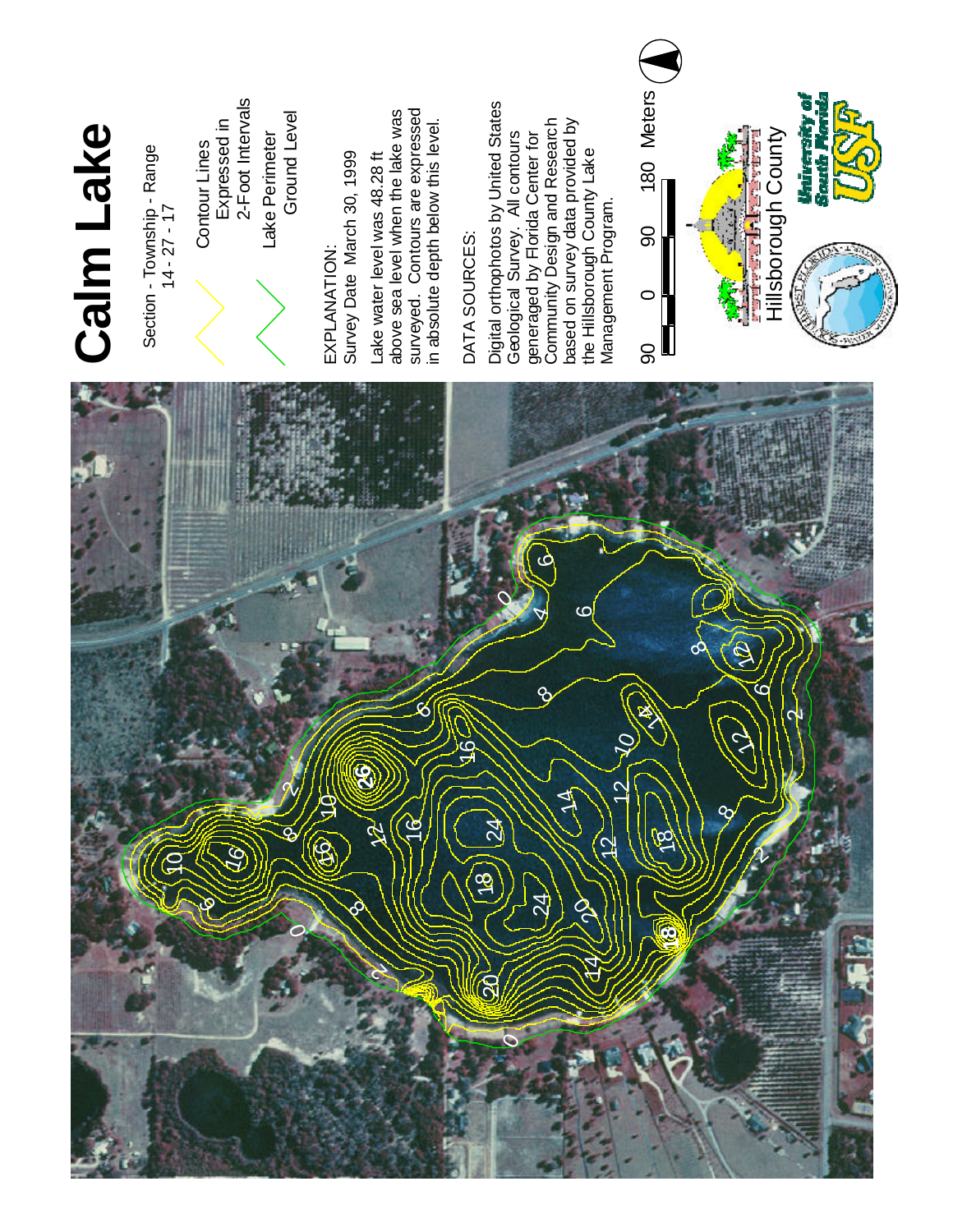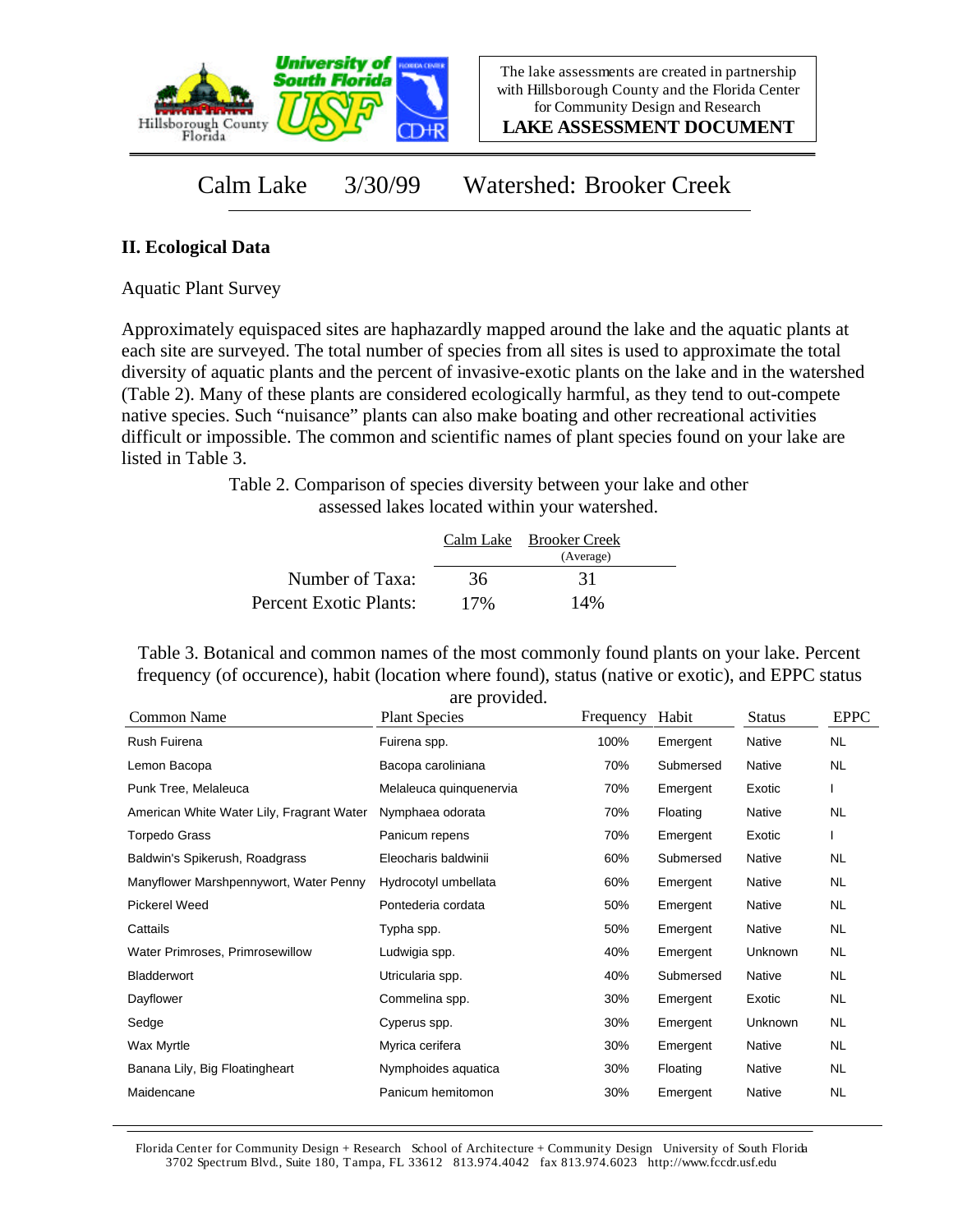

**LAKE ASSESSMENT DOCUMENT**

Calm Lake 3/30/99 Watershed: Brooker Creek

## **II. Ecological Data**

Aquatic Plant Survey

Approximately equispaced sites are haphazardly mapped around the lake and the aquatic plants at each site are surveyed. The total number of species from all sites is used to approximate the total diversity of aquatic plants and the percent of invasive-exotic plants on the lake and in the watershed (Table 2). Many of these plants are considered ecologically harmful, as they tend to out-compete native species. Such "nuisance" plants can also make boating and other recreational activities difficult or impossible. The common and scientific names of plant species found on your lake are listed in Table 3.

> Table 2. Comparison of species diversity between your lake and other assessed lakes located within your watershed.

|                        |     | Calm Lake Brooker Creek<br>(Average) |  |
|------------------------|-----|--------------------------------------|--|
| Number of Taxa:        | 36  | 31                                   |  |
| Percent Exotic Plants: | 17% | 14%                                  |  |

Table 3. Botanical and common names of the most commonly found plants on your lake. Percent frequency (of occurence), habit (location where found), status (native or exotic), and EPPC status are provided.

| Common Name                               | <b>Plant Species</b>    | Frequency | Habit     | <b>Status</b> | <b>EPPC</b> |
|-------------------------------------------|-------------------------|-----------|-----------|---------------|-------------|
| Rush Fuirena                              | Fuirena spp.            | 100%      | Emergent  | Native        | <b>NL</b>   |
| Lemon Bacopa                              | Bacopa caroliniana      | 70%       | Submersed | Native        | NL.         |
| Punk Tree, Melaleuca                      | Melaleuca quinquenervia | 70%       | Emergent  | Exotic        |             |
| American White Water Lily, Fragrant Water | Nymphaea odorata        | 70%       | Floating  | Native        | NL.         |
| <b>Torpedo Grass</b>                      | Panicum repens          | 70%       | Emergent  | Exotic        |             |
| Baldwin's Spikerush, Roadgrass            | Eleocharis baldwinii    | 60%       | Submersed | Native        | NL.         |
| Manyflower Marshpennywort, Water Penny    | Hydrocotyl umbellata    | 60%       | Emergent  | Native        | NL.         |
| <b>Pickerel Weed</b>                      | Pontederia cordata      | 50%       | Emergent  | Native        | NL.         |
| Cattails                                  | Typha spp.              | 50%       | Emergent  | Native        | NL.         |
| Water Primroses, Primrosewillow           | Ludwigia spp.           | 40%       | Emergent  | Unknown       | NL.         |
| Bladderwort                               | Utricularia spp.        | 40%       | Submersed | Native        | <b>NL</b>   |
| Dayflower                                 | Commelina spp.          | 30%       | Emergent  | Exotic        | <b>NL</b>   |
| Sedge                                     | Cyperus spp.            | 30%       | Emergent  | Unknown       | <b>NL</b>   |
| Wax Myrtle                                | Myrica cerifera         | 30%       | Emergent  | Native        | NL          |
| Banana Lily, Big Floatingheart            | Nymphoides aquatica     | 30%       | Floating  | Native        | NL.         |
| Maidencane                                | Panicum hemitomon       | 30%       | Emergent  | Native        | <b>NL</b>   |
|                                           |                         |           |           |               |             |

Florida Center for Community Design + Research School of Architecture + Community Design University of South Florida 3702 Spectrum Blvd., Suite 180, Tampa, FL 33612 813.974.4042 fax 813.974.6023 http://www.fccdr.usf.edu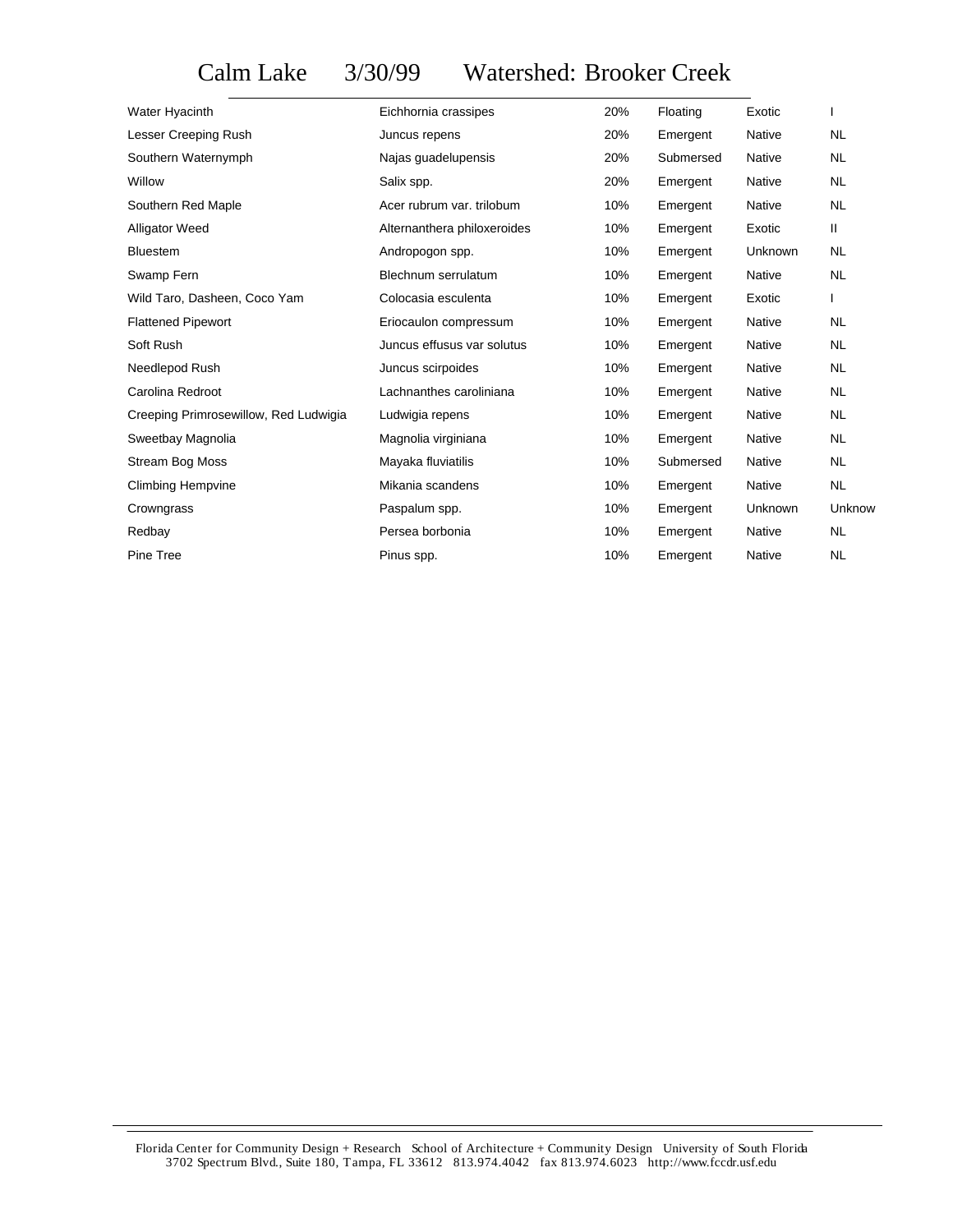## Calm Lake 3/30/99 Watershed: Brooker Creek

| Water Hyacinth                        | Eichhornia crassipes        | 20% | Floating  | Exotic         |              |
|---------------------------------------|-----------------------------|-----|-----------|----------------|--------------|
| Lesser Creeping Rush                  | Juncus repens               | 20% | Emergent  | <b>Native</b>  | <b>NL</b>    |
| Southern Waternymph                   | Najas guadelupensis         | 20% | Submersed | Native         | <b>NL</b>    |
| Willow                                | Salix spp.                  | 20% | Emergent  | Native         | <b>NL</b>    |
| Southern Red Maple                    | Acer rubrum var. trilobum   | 10% | Emergent  | <b>Native</b>  | <b>NL</b>    |
| <b>Alligator Weed</b>                 | Alternanthera philoxeroides | 10% | Emergent  | Exotic         | $\mathbf{H}$ |
| <b>Bluestem</b>                       | Andropogon spp.             | 10% | Emergent  | Unknown        | <b>NL</b>    |
| Swamp Fern                            | Blechnum serrulatum         | 10% | Emergent  | <b>Native</b>  | <b>NL</b>    |
| Wild Taro, Dasheen, Coco Yam          | Colocasia esculenta         | 10% | Emergent  | Exotic         | I            |
| <b>Flattened Pipewort</b>             | Eriocaulon compressum       | 10% | Emergent  | Native         | NL.          |
| Soft Rush                             | Juncus effusus var solutus  | 10% | Emergent  | Native         | <b>NL</b>    |
| Needlepod Rush                        | Juncus scirpoides           | 10% | Emergent  | Native         | <b>NL</b>    |
| Carolina Redroot                      | Lachnanthes caroliniana     | 10% | Emergent  | Native         | NL.          |
| Creeping Primrosewillow, Red Ludwigia | Ludwigia repens             | 10% | Emergent  | Native         | <b>NL</b>    |
| Sweetbay Magnolia                     | Magnolia virginiana         | 10% | Emergent  | Native         | <b>NL</b>    |
| <b>Stream Bog Moss</b>                | Mayaka fluviatilis          | 10% | Submersed | <b>Native</b>  | <b>NL</b>    |
| <b>Climbing Hempvine</b>              | Mikania scandens            | 10% | Emergent  | Native         | <b>NL</b>    |
| Crowngrass                            | Paspalum spp.               | 10% | Emergent  | <b>Unknown</b> | Unknow       |
| Redbay                                | Persea borbonia             | 10% | Emergent  | Native         | NL.          |
| Pine Tree                             | Pinus spp.                  | 10% | Emergent  | <b>Native</b>  | <b>NL</b>    |